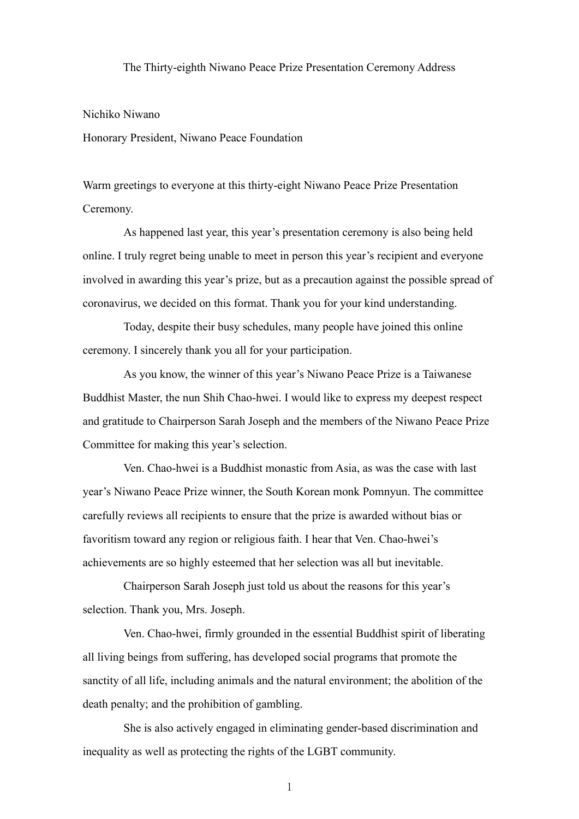## The Thirty-eighth Niwano Peace Prize Presentation Ceremony Address

## Nichiko Niwano

Honorary President, Niwano Peace Foundation

Warm greetings to everyone at this thirty-eight Niwano Peace Prize Presentation Ceremony.

As happened last year, this year's presentation ceremony is also being held online. I truly regret being unable to meet in person this year's recipient and everyone involved in awarding this year's prize, but as a precaution against the possible spread of coronavirus, we decided on this format. Thank you for your kind understanding.

Today, despite their busy schedules, many people have joined this online ceremony. I sincerely thank you all for your participation.

As you know, the winner of this year's Niwano Peace Prize is a Taiwanese Buddhist Master, the nun Shih Chao-hwei. I would like to express my deepest respect and gratitude to Chairperson Sarah Joseph and the members of the Niwano Peace Prize Committee for making this year's selection.

Ven. Chao-hwei is a Buddhist monastic from Asia, as was the case with last year's Niwano Peace Prize winner, the South Korean monk Pomnyun. The committee carefully reviews all recipients to ensure that the prize is awarded without bias or favoritism toward any region or religious faith. I hear that Ven. Chao-hwei's achievements are so highly esteemed that her selection was all but inevitable.

Chairperson Sarah Joseph just told us about the reasons for this year's selection. Thank you, Mrs. Joseph.

Ven. Chao-hwei, firmly grounded in the essential Buddhist spirit of liberating all living beings from suffering, has developed social programs that promote the sanctity of all life, including animals and the natural environment; the abolition of the death penalty; and the prohibition of gambling.

She is also actively engaged in eliminating gender-based discrimination and inequality as well as protecting the rights of the LGBT community.

1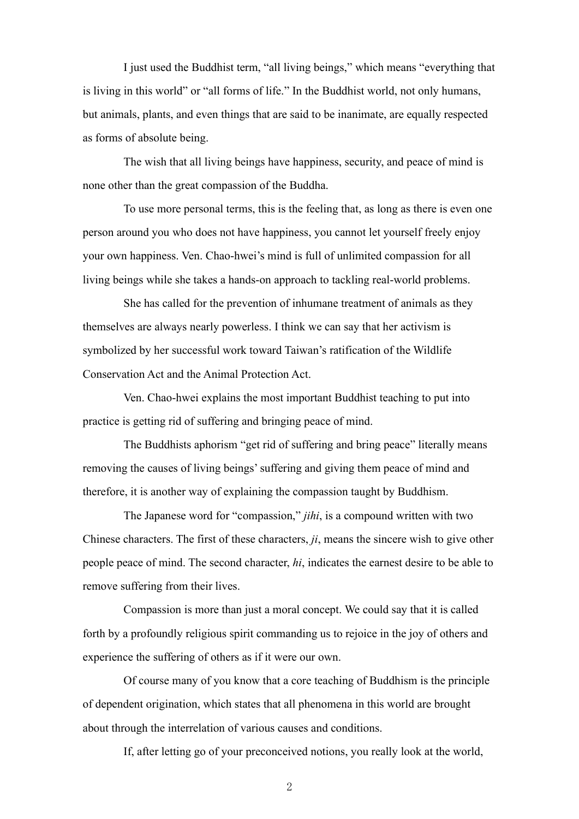I just used the Buddhist term, "all living beings," which means "everything that is living in this world" or "all forms of life." In the Buddhist world, not only humans, but animals, plants, and even things that are said to be inanimate, are equally respected as forms of absolute being.

The wish that all living beings have happiness, security, and peace of mind is none other than the great compassion of the Buddha.

To use more personal terms, this is the feeling that, as long as there is even one person around you who does not have happiness, you cannot let yourself freely enjoy your own happiness. Ven. Chao-hwei's mind is full of unlimited compassion for all living beings while she takes a hands-on approach to tackling real-world problems.

She has called for the prevention of inhumane treatment of animals as they themselves are always nearly powerless. I think we can say that her activism is symbolized by her successful work toward Taiwan's ratification of the Wildlife Conservation Act and the Animal Protection Act.

Ven. Chao-hwei explains the most important Buddhist teaching to put into practice is getting rid of suffering and bringing peace of mind.

The Buddhists aphorism "get rid of suffering and bring peace" literally means removing the causes of living beings' suffering and giving them peace of mind and therefore, it is another way of explaining the compassion taught by Buddhism.

The Japanese word for "compassion," *jihi*, is a compound written with two Chinese characters. The first of these characters, *ji*, means the sincere wish to give other people peace of mind. The second character, *hi*, indicates the earnest desire to be able to remove suffering from their lives.

Compassion is more than just a moral concept. We could say that it is called forth by a profoundly religious spirit commanding us to rejoice in the joy of others and experience the suffering of others as if it were our own.

Of course many of you know that a core teaching of Buddhism is the principle of dependent origination, which states that all phenomena in this world are brought about through the interrelation of various causes and conditions.

If, after letting go of your preconceived notions, you really look at the world,

2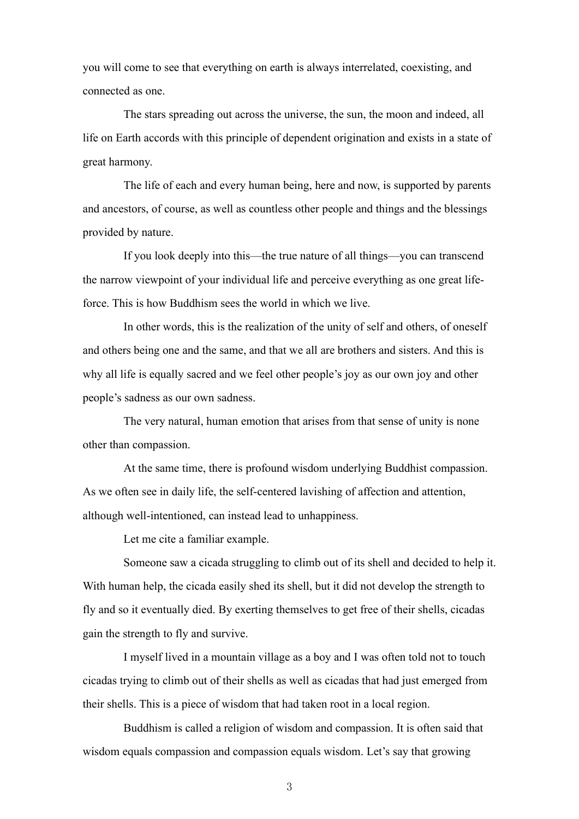you will come to see that everything on earth is always interrelated, coexisting, and connected as one.

The stars spreading out across the universe, the sun, the moon and indeed, all life on Earth accords with this principle of dependent origination and exists in a state of great harmony.

The life of each and every human being, here and now, is supported by parents and ancestors, of course, as well as countless other people and things and the blessings provided by nature.

If you look deeply into this—the true nature of all things—you can transcend the narrow viewpoint of your individual life and perceive everything as one great lifeforce. This is how Buddhism sees the world in which we live.

In other words, this is the realization of the unity of self and others, of oneself and others being one and the same, and that we all are brothers and sisters. And this is why all life is equally sacred and we feel other people's joy as our own joy and other people's sadness as our own sadness.

The very natural, human emotion that arises from that sense of unity is none other than compassion.

At the same time, there is profound wisdom underlying Buddhist compassion. As we often see in daily life, the self-centered lavishing of affection and attention, although well-intentioned, can instead lead to unhappiness.

Let me cite a familiar example.

Someone saw a cicada struggling to climb out of its shell and decided to help it. With human help, the cicada easily shed its shell, but it did not develop the strength to fly and so it eventually died. By exerting themselves to get free of their shells, cicadas gain the strength to fly and survive.

I myself lived in a mountain village as a boy and I was often told not to touch cicadas trying to climb out of their shells as well as cicadas that had just emerged from their shells. This is a piece of wisdom that had taken root in a local region.

Buddhism is called a religion of wisdom and compassion. It is often said that wisdom equals compassion and compassion equals wisdom. Let's say that growing

3